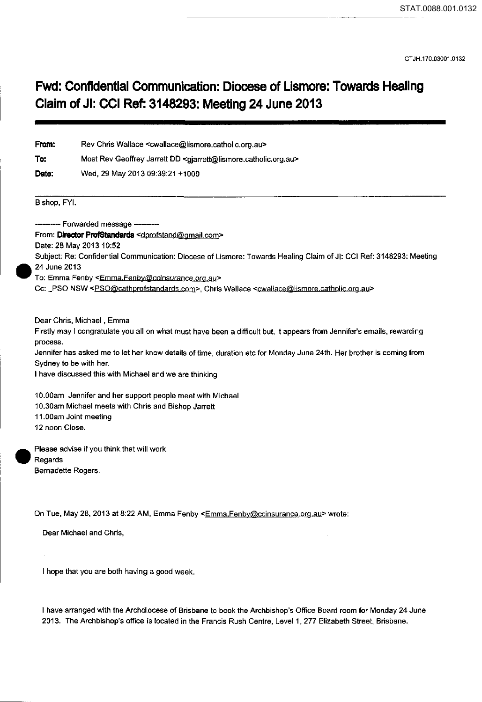CT JH.170.03001.0132

## **Fwd: Confidential Communication: Diocese of Lismore: Towards Healing Claim of Jl: CCI Ref: 3148293: Meeting 24 June 2013**

| From:                                                                      | Rev Chris Wallace <cwallace@lismore.catholic.org.au></cwallace@lismore.catholic.org.au>                                                                                                                                                                                                                                                                                                                                                                                         |
|----------------------------------------------------------------------------|---------------------------------------------------------------------------------------------------------------------------------------------------------------------------------------------------------------------------------------------------------------------------------------------------------------------------------------------------------------------------------------------------------------------------------------------------------------------------------|
| To:<br>Date:                                                               | Most Rev Geoffrey Jarrett DD <gjarrett@lismore.catholic.org.au><br/>Wed, 29 May 2013 09:39:21 +1000</gjarrett@lismore.catholic.org.au>                                                                                                                                                                                                                                                                                                                                          |
|                                                                            |                                                                                                                                                                                                                                                                                                                                                                                                                                                                                 |
| 24 June 2013                                                               | From: Director ProfStandards <dprofstand@gmail.com><br/>Date: 28 May 2013 10:52<br/>Subject: Re: Confidential Communication: Diocese of Lismore: Towards Healing Claim of JI: CCI Ref: 3148293: Meeting<br/>To: Emma Fenby <emma.fenby@ccinsurance.org.au><br/>Cc: _PSO NSW <pso@cathprofstandards.com>, Chris Wallace <cwallace@lismore.catholic.org.au></cwallace@lismore.catholic.org.au></pso@cathprofstandards.com></emma.fenby@ccinsurance.org.au></dprofstand@gmail.com> |
| process.                                                                   | Dear Chris, Michael, Emma<br>Firstly may I congratulate you all on what must have been a difficult but, it appears from Jennifer's emails, rewarding<br>Jennifer has asked me to let her know details of time, duration etc for Monday June 24th. Her brother is coming from<br>Sydney to be with her.<br>I have discussed this with Michael and we are thinking                                                                                                                |
| 12 noon Close.                                                             | 10.00am Jennifer and her support people meet with Michael<br>10.30am Michael meets with Chris and Bishop Jarrett<br>11.00am Joint meeting                                                                                                                                                                                                                                                                                                                                       |
| Please advise if you think that will work<br>Regards<br>Bernadette Rogers. |                                                                                                                                                                                                                                                                                                                                                                                                                                                                                 |
|                                                                            | On Tue, May 28, 2013 at 8:22 AM, Emma Fenby <emma, fenby@ccinsurance.org.au=""> wrote:<br/>Dear Michael and Chris,</emma,>                                                                                                                                                                                                                                                                                                                                                      |
|                                                                            |                                                                                                                                                                                                                                                                                                                                                                                                                                                                                 |

I hope that you are both having a good week.

•

•

I have arranged with the Archdiocese of Brisbane to book the Archbishop's Office Board room for Monday 24 June 2013. The Archbishop's office is located in the Francis Rush Centre, Level 1, 277 Elizabeth Street, Brisbane.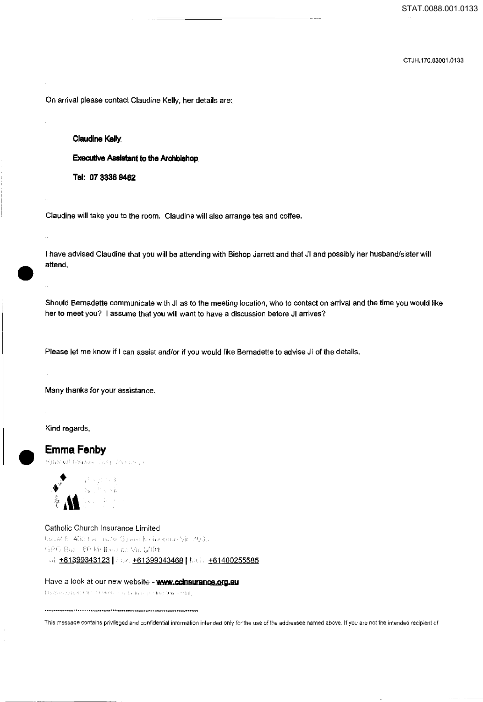CT JH.170.03001.0133

On arrival please contact Claudine Kelly, her details are:

## **Claudine Kelly**

**Executive Assistant to the Archbishop** 

**Tel: 07 3336 9462** 

Claudine will take you to the room. Claudine will also arrange tea and coffee.

• I have advised Claudine that you will be attending with Bishop Jarrett and that Jl and possibly her husband/sister will attend.

Should Bernadette communicate with JI as to the meeting location, who to contact on arrival and the time you would like her to meet you? I assume that you will want to have a discussion before Jl arrives?

Please let me know if I can assist and/or if you would like Bernadette to advise Jl of the details.

Many thanks for your assistance.

Kind regards,

## **EmmaFenby**



Catholic Church Insurance Limited Letter 8 400 that note Street Mathematic Victorian GPO Box 80 McBalume Vic. 3001 161. **+61399343123** | *inn.* +61399343468 | Meir. +61400255585

Have a look at our new website - **www.ccinsurance.org.au** 

Please consecutive concert in a dialect proting this email.

This message contains privileged and confidential information intended only for ihe use of the addressee named above. If you are not the intended recipient of